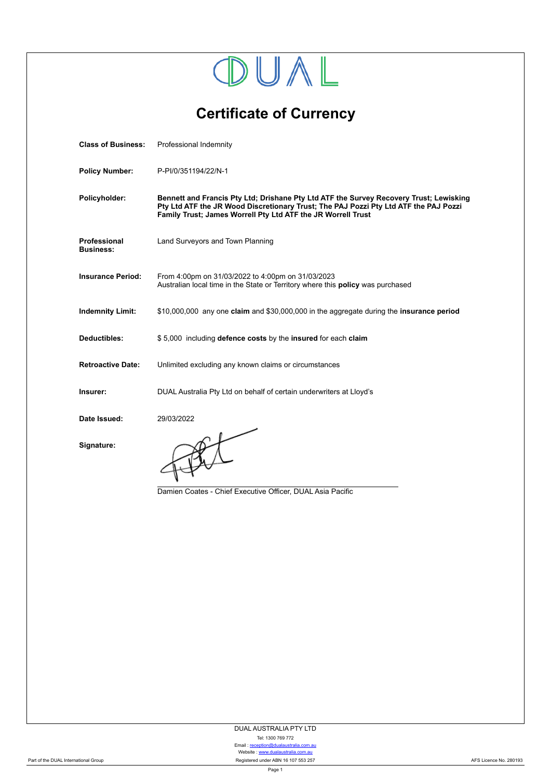

**Certificate of Currency**

| <b>Class of Business:</b>        | Professional Indemnity                                                                                                                                                                                                                         |  |  |
|----------------------------------|------------------------------------------------------------------------------------------------------------------------------------------------------------------------------------------------------------------------------------------------|--|--|
| <b>Policy Number:</b>            | P-PI/0/351194/22/N-1                                                                                                                                                                                                                           |  |  |
| Policyholder:                    | Bennett and Francis Pty Ltd; Drishane Pty Ltd ATF the Survey Recovery Trust; Lewisking<br>Pty Ltd ATF the JR Wood Discretionary Trust; The PAJ Pozzi Pty Ltd ATF the PAJ Pozzi<br>Family Trust; James Worrell Pty Ltd ATF the JR Worrell Trust |  |  |
| Professional<br><b>Business:</b> | Land Surveyors and Town Planning                                                                                                                                                                                                               |  |  |
| <b>Insurance Period:</b>         | From 4:00pm on 31/03/2022 to 4:00pm on 31/03/2023<br>Australian local time in the State or Territory where this policy was purchased                                                                                                           |  |  |
| <b>Indemnity Limit:</b>          | \$10,000,000 any one claim and \$30,000,000 in the aggregate during the insurance period                                                                                                                                                       |  |  |
| Deductibles:                     | \$5,000 including defence costs by the insured for each claim                                                                                                                                                                                  |  |  |
| <b>Retroactive Date:</b>         | Unlimited excluding any known claims or circumstances                                                                                                                                                                                          |  |  |
| Insurer:                         | DUAL Australia Pty Ltd on behalf of certain underwriters at Lloyd's                                                                                                                                                                            |  |  |
| Date Issued:                     | 29/03/2022                                                                                                                                                                                                                                     |  |  |
| Signature:                       | Damien Coates - Chief Executive Officer, DUAL Asia Pacific                                                                                                                                                                                     |  |  |
|                                  |                                                                                                                                                                                                                                                |  |  |

DUAL AUSTRALIA PTY LTD

Tel: 1300 769 772 Email : [reception@dualaustralia.com.au](mailto:reception@dualaustralia.com.au) Website : <www.dualaustralia.com.au>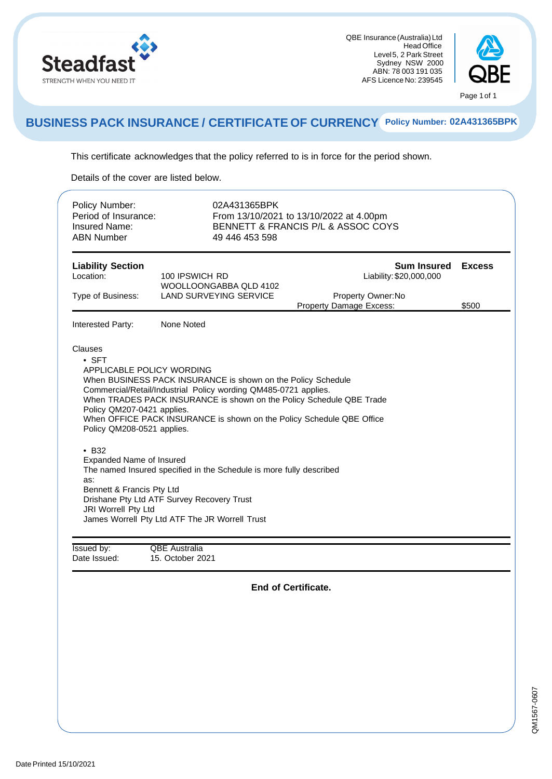

QBE Insurance (Australia)Ltd ustralia) Ltd<br>Head Office<br>Bark Stroot urance (Australia) Ltd<br>Head Office<br>Level5, 2 Park Street<br>Sydnov, NSW, 2000 Sydney NSW 2000 Level 5, 2 Park Street<br>Sydney NSW 2000<br>ABN: 78 003 191 035<br>S Licence No: 230545 Sydney NSW 2000<br>ABN: 78 003 191 035<br>AFS Licence No: 239545



#### **BUSINESS PACK INSURANCE / CERTIFICATE OF CURRENCY Policy Number: 02A431365BPK**

This certificate acknowledges that the policy referred to is in force for the period shown. This certificate acknowledges that the<br>Details of the cover are listed below.

| Period of Insurance:<br><b>Insured Name:</b><br><b>ABN Number</b>                                                                                                                                                                          | 02A431365BPK<br>From 13/10/2021 to 13/10/2022 at 4.00pm<br>BENNETT & FRANCIS P/L & ASSOC COYS<br>49 446 453 598                                                                                                                                                                                                                                                                                                                                         |                                                                                                |                        |
|--------------------------------------------------------------------------------------------------------------------------------------------------------------------------------------------------------------------------------------------|---------------------------------------------------------------------------------------------------------------------------------------------------------------------------------------------------------------------------------------------------------------------------------------------------------------------------------------------------------------------------------------------------------------------------------------------------------|------------------------------------------------------------------------------------------------|------------------------|
| <b>Liability Section</b><br>Location:<br>Type of Business:                                                                                                                                                                                 | 100 IPSWICH RD<br>WOOLLOONGABBA QLD 4102<br>LAND SURVEYING SERVICE                                                                                                                                                                                                                                                                                                                                                                                      | <b>Sum Insured</b><br>Liability: \$20,000,000<br>Property Owner: No<br>Property Damage Excess: | <b>Excess</b><br>\$500 |
| Interested Party:                                                                                                                                                                                                                          | None Noted                                                                                                                                                                                                                                                                                                                                                                                                                                              |                                                                                                |                        |
| Clauses<br>$\bullet$ SFT<br><b>APPLICABLE POLICY WORDING</b><br>Policy QM207-0421 applies.<br>Policy QM208-0521 applies.<br>$\cdot$ B <sub>32</sub><br>Expanded Name of Insured<br>as:<br>Bennett & Francis Pty Ltd<br>JRI Worrell Pty Ltd | When BUSINESS PACK INSURANCE is shown on the Policy Schedule<br>Commercial/Retail/Industrial Policy wording QM485-0721 applies.<br>When TRADES PACK INSURANCE is shown on the Policy Schedule QBE Trade<br>When OFFICE PACK INSURANCE is shown on the Policy Schedule QBE Office<br>The named Insured specified in the Schedule is more fully described<br>Drishane Pty Ltd ATF Survey Recovery Trust<br>James Worrell Pty Ltd ATF The JR Worrell Trust |                                                                                                |                        |
|                                                                                                                                                                                                                                            |                                                                                                                                                                                                                                                                                                                                                                                                                                                         |                                                                                                |                        |
| <b>Issued by:</b><br>Date Issued:                                                                                                                                                                                                          | <b>QBE</b> Australia<br>15. October 2021                                                                                                                                                                                                                                                                                                                                                                                                                |                                                                                                |                        |